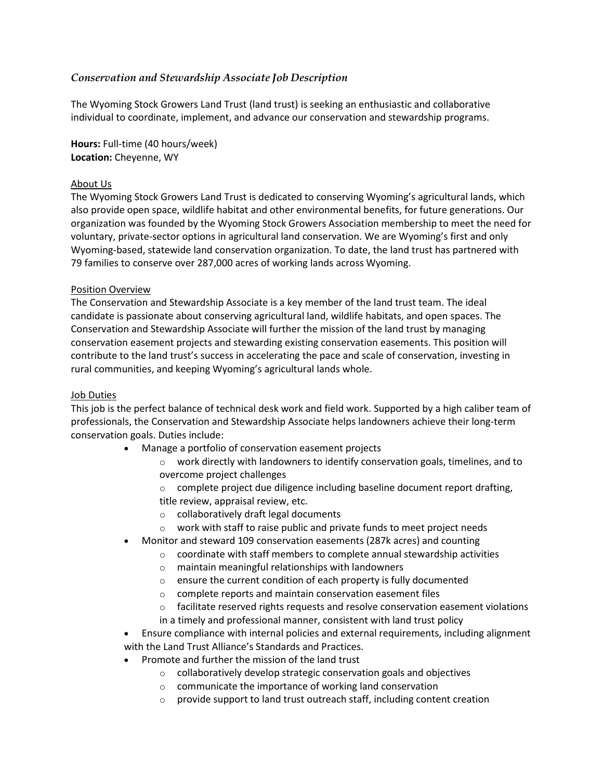# *Conservation and Stewardship Associate Job Description*

The Wyoming Stock Growers Land Trust (land trust) is seeking an enthusiastic and collaborative individual to coordinate, implement, and advance our conservation and stewardship programs. 

**Hours:** Full-time (40 hours/week) **Location:** Cheyenne, WY

### About Us

The Wyoming Stock Growers Land Trust is dedicated to conserving Wyoming's agricultural lands, which also provide open space, wildlife habitat and other environmental benefits, for future generations. Our organization was founded by the Wyoming Stock Growers Association membership to meet the need for voluntary, private-sector options in agricultural land conservation. We are Wyoming's first and only Wyoming-based, statewide land conservation organization. To date, the land trust has partnered with 79 families to conserve over 287,000 acres of working lands across Wyoming. 

### Position Overview

The Conservation and Stewardship Associate is a key member of the land trust team. The ideal candidate is passionate about conserving agricultural land, wildlife habitats, and open spaces. The Conservation and Stewardship Associate will further the mission of the land trust by managing conservation easement projects and stewarding existing conservation easements. This position will contribute to the land trust's success in accelerating the pace and scale of conservation, investing in rural communities, and keeping Wyoming's agricultural lands whole.  

#### Job Duties

This job is the perfect balance of technical desk work and field work. Supported by a high caliber team of professionals, the Conservation and Stewardship Associate helps landowners achieve their long-term conservation goals. Duties include: 

- Manage a portfolio of conservation easement projects
	- o work directly with landowners to identify conservation goals, timelines, and to overcome project challenges
	- o complete project due diligence including baseline document report drafting, title review, appraisal review, etc.
	- o collaboratively draft legal documents
	- $\circ$  work with staff to raise public and private funds to meet project needs
- Monitor and steward 109 conservation easements (287k acres) and counting
	- o coordinate with staff members to complete annual stewardship activities
	- o maintain meaningful relationships with landowners
	- o ensure the current condition of each property is fully documented
	- o complete reports and maintain conservation easement files
	- $\circ$  facilitate reserved rights requests and resolve conservation easement violations
	- in a timely and professional manner, consistent with land trust policy
- Ensure compliance with internal policies and external requirements, including alignment with the Land Trust Alliance's Standards and Practices.
- Promote and further the mission of the land trust
	- o collaboratively develop strategic conservation goals and objectives
	- o communicate the importance of working land conservation
	- o provide support to land trust outreach staff, including content creation